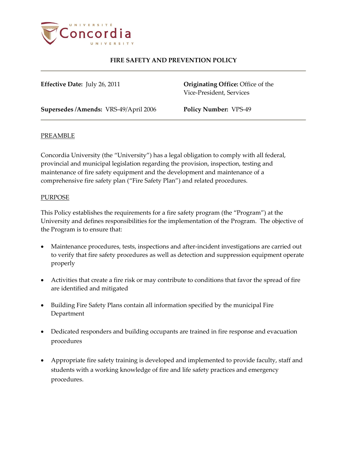

**Effective Date:** July 26, 2011 **Originating Office:** Office of the Vice-President, Services

**Supersedes /Amends:** VRS-49/April 2006 **Policy Number:** VPS-49

### PREAMBLE

Concordia University (the "University") has a legal obligation to comply with all federal, provincial and municipal legislation regarding the provision, inspection, testing and maintenance of fire safety equipment and the development and maintenance of a comprehensive fire safety plan ("Fire Safety Plan") and related procedures.

### PURPOSE

This Policy establishes the requirements for a fire safety program (the "Program") at the University and defines responsibilities for the implementation of the Program. The objective of the Program is to ensure that:

- Maintenance procedures, tests, inspections and after-incident investigations are carried out to verify that fire safety procedures as well as detection and suppression equipment operate properly
- Activities that create a fire risk or may contribute to conditions that favor the spread of fire are identified and mitigated
- Building Fire Safety Plans contain all information specified by the municipal Fire Department
- Dedicated responders and building occupants are trained in fire response and evacuation procedures
- Appropriate fire safety training is developed and implemented to provide faculty, staff and students with a working knowledge of fire and life safety practices and emergency procedures.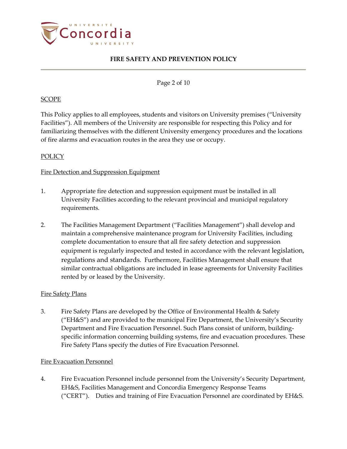

### Page 2 of 10

### SCOPE

This Policy applies to all employees, students and visitors on University premises ("University Facilities"). All members of the University are responsible for respecting this Policy and for familiarizing themselves with the different University emergency procedures and the locations of fire alarms and evacuation routes in the area they use or occupy.

### POLICY

### Fire Detection and Suppression Equipment

- 1. Appropriate fire detection and suppression equipment must be installed in all University Facilities according to the relevant provincial and municipal regulatory requirements.
- 2. The Facilities Management Department ("Facilities Management") shall develop and maintain a comprehensive maintenance program for University Facilities, including complete documentation to ensure that all fire safety detection and suppression equipment is regularly inspected and tested in accordance with the relevant legislation, regulations and standards. Furthermore, Facilities Management shall ensure that similar contractual obligations are included in lease agreements for University Facilities rented by or leased by the University.

#### Fire Safety Plans

3. Fire Safety Plans are developed by the Office of Environmental Health & Safety ("EH&S") and are provided to the municipal Fire Department, the University's Security Department and Fire Evacuation Personnel. Such Plans consist of uniform, buildingspecific information concerning building systems, fire and evacuation procedures. These Fire Safety Plans specify the duties of Fire Evacuation Personnel.

#### Fire Evacuation Personnel

4. Fire Evacuation Personnel include personnel from the University's Security Department, EH&S, Facilities Management and Concordia Emergency Response Teams ("CERT"). Duties and training of Fire Evacuation Personnel are coordinated by EH&S.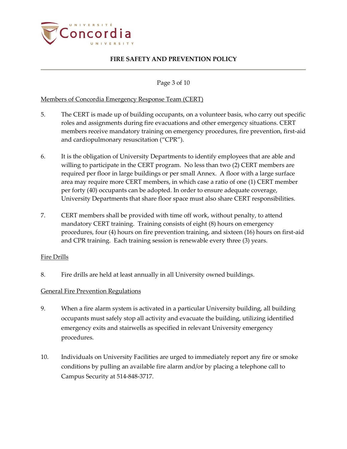

Page 3 of 10

## Members of Concordia Emergency Response Team (CERT)

- 5. The CERT is made up of building occupants, on a volunteer basis, who carry out specific roles and assignments during fire evacuations and other emergency situations. CERT members receive mandatory training on emergency procedures, fire prevention, first-aid and cardiopulmonary resuscitation ("CPR").
- 6. It is the obligation of University Departments to identify employees that are able and willing to participate in the CERT program. No less than two (2) CERT members are required per floor in large buildings or per small Annex. A floor with a large surface area may require more CERT members, in which case a ratio of one (1) CERT member per forty (40) occupants can be adopted. In order to ensure adequate coverage, University Departments that share floor space must also share CERT responsibilities.
- 7. CERT members shall be provided with time off work, without penalty, to attend mandatory CERT training. Training consists of eight (8) hours on emergency procedures, four (4) hours on fire prevention training, and sixteen (16) hours on first-aid and CPR training. Each training session is renewable every three (3) years.

#### Fire Drills

8. Fire drills are held at least annually in all University owned buildings.

#### General Fire Prevention Regulations

- 9. When a fire alarm system is activated in a particular University building, all building occupants must safely stop all activity and evacuate the building, utilizing identified emergency exits and stairwells as specified in relevant University emergency procedures.
- 10. Individuals on University Facilities are urged to immediately report any fire or smoke conditions by pulling an available fire alarm and/or by placing a telephone call to Campus Security at 514-848-3717.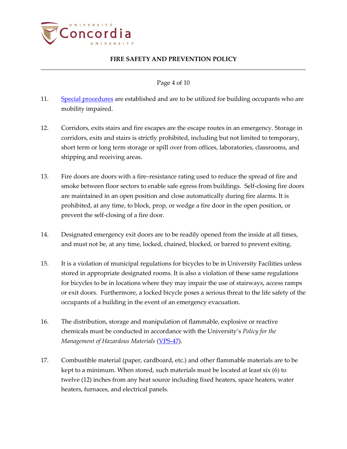

Page 4 of 10

- 11. [Special procedures](http://www.concordia.ca/emergency/whattodoinanemergency/fireandevacuation/evacuationofmobility-impairedpersons/) are established and are to be utilized for building occupants who are mobility impaired.
- 12. Corridors, exits stairs and fire escapes are the escape routes in an emergency. Storage in corridors, exits and stairs is strictly prohibited, including but not limited to temporary, short term or long term storage or spill over from offices, laboratories, classrooms, and shipping and receiving areas.
- 13. Fire doors are doors with a fire–resistance rating used to reduce the spread of fire and smoke between floor sectors to enable safe egress from buildings. Self-closing fire doors are maintained in an open position and close automatically during fire alarms. It is prohibited, at any time, to block, prop, or wedge a fire door in the open position, or prevent the self-closing of a fire door.
- 14. Designated emergency exit doors are to be readily opened from the inside at all times, and must not be, at any time, locked, chained, blocked, or barred to prevent exiting.
- 15. It is a violation of municipal regulations for bicycles to be in University Facilities unless stored in appropriate designated rooms. It is also a violation of these same regulations for bicycles to be in locations where they may impair the use of stairways, access ramps or exit doors. Furthermore, a locked bicycle poses a serious threat to the life safety of the occupants of a building in the event of an emergency evacuation.
- 16. The distribution, storage and manipulation of flammable, explosive or reactive chemicals must be conducted in accordance with the University's *Policy for the Management of Hazardous Materials* [\(VPS-47\)](http://www.concordia.ca/vpirsg/documents/policies/VPS-47.pdf).
- 17. Combustible material (paper, cardboard, etc.) and other flammable materials are to be kept to a minimum. When stored, such materials must be located at least six (6) to twelve (12) inches from any heat source including fixed heaters, space heaters, water heaters, furnaces, and electrical panels.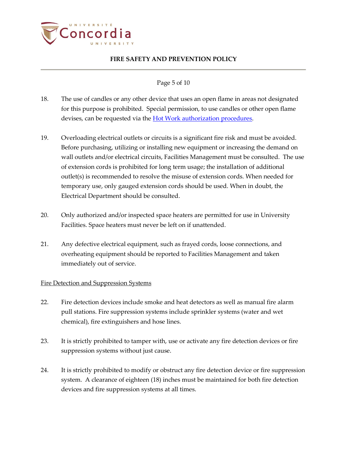

## Page 5 of 10

- 18. The use of candles or any other device that uses an open flame in areas not designated for this purpose is prohibited. Special permission, to use candles or other open flame devises, can be requested via the **Hot Work authorization procedures**.
- 19. Overloading electrical outlets or circuits is a significant fire risk and must be avoided. Before purchasing, utilizing or installing new equipment or increasing the demand on wall outlets and/or electrical circuits, Facilities Management must be consulted. The use of extension cords is prohibited for long term usage; the installation of additional outlet(s) is recommended to resolve the misuse of extension cords. When needed for temporary use, only gauged extension cords should be used. When in doubt, the Electrical Department should be consulted.
- 20. Only authorized and/or inspected space heaters are permitted for use in University Facilities. Space heaters must never be left on if unattended.
- 21. Any defective electrical equipment, such as frayed cords, loose connections, and overheating equipment should be reported to Facilities Management and taken immediately out of service.

## Fire Detection and Suppression Systems

- 22. Fire detection devices include smoke and heat detectors as well as manual fire alarm pull stations. Fire suppression systems include sprinkler systems (water and wet chemical), fire extinguishers and hose lines.
- 23. It is strictly prohibited to tamper with, use or activate any fire detection devices or fire suppression systems without just cause.
- 24. It is strictly prohibited to modify or obstruct any fire detection device or fire suppression system. A clearance of eighteen (18) inches must be maintained for both fire detection devices and fire suppression systems at all times.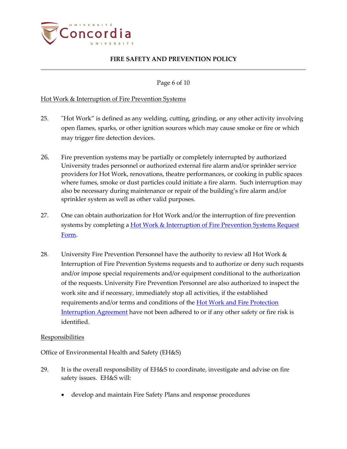

Page 6 of 10

### Hot Work & Interruption of Fire Prevention Systems

- 25. "Hot Work" is defined as any welding, cutting, grinding, or any other activity involving open flames, sparks, or other ignition sources which may cause smoke or fire or which may trigger fire detection devices.
- 26. Fire prevention systems may be partially or completely interrupted by authorized University trades personnel or authorized external fire alarm and/or sprinkler service providers for Hot Work, renovations, theatre performances, or cooking in public spaces where fumes, smoke or dust particles could initiate a fire alarm. Such interruption may also be necessary during maintenance or repair of the building's fire alarm and/or sprinkler system as well as other valid purposes.
- 27. One can obtain authorization for Hot Work and/or the interruption of fire prevention systems by completing a Hot Work & Interruption of Fire Prevention Systems Request [Form.](http://www.concordia.ca/emergency/fire-prevention/firepreventionpermits/hotworkform/)
- 28. University Fire Prevention Personnel have the authority to review all Hot Work & Interruption of Fire Prevention Systems requests and to authorize or deny such requests and/or impose special requirements and/or equipment conditional to the authorization of the requests. University Fire Prevention Personnel are also authorized to inspect the work site and if necessary, immediately stop all activities, if the established requirements and/or terms and conditions of the **Hot Work and Fire Protection** [Interruption Agreement](http://www.concordia.ca/emergency/fire-prevention/firepreventionpermits/hotworkform/) have not been adhered to or if any other safety or fire risk is identified.

#### **Responsibilities**

Office of Environmental Health and Safety (EH&S)

- 29. It is the overall responsibility of EH&S to coordinate, investigate and advise on fire safety issues. EH&S will:
	- develop and maintain Fire Safety Plans and response procedures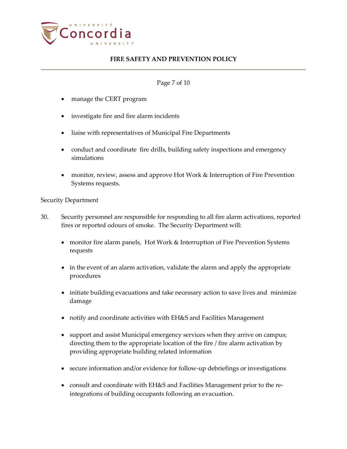

## Page 7 of 10

- manage the CERT program
- investigate fire and fire alarm incidents
- liaise with representatives of Municipal Fire Departments
- conduct and coordinate fire drills, building safety inspections and emergency simulations
- monitor, review, assess and approve Hot Work & Interruption of Fire Prevention Systems requests.

### Security Department

- 30. Security personnel are responsible for responding to all fire alarm activations, reported fires or reported odours of smoke. The Security Department will:
	- monitor fire alarm panels, Hot Work & Interruption of Fire Prevention Systems requests
	- in the event of an alarm activation, validate the alarm and apply the appropriate procedures
	- initiate building evacuations and take necessary action to save lives and minimize damage
	- notify and coordinate activities with EH&S and Facilities Management
	- support and assist Municipal emergency services when they arrive on campus; directing them to the appropriate location of the fire / fire alarm activation by providing appropriate building related information
	- secure information and/or evidence for follow-up debriefings or investigations
	- consult and coordinate with EH&S and Facilities Management prior to the reintegrations of building occupants following an evacuation.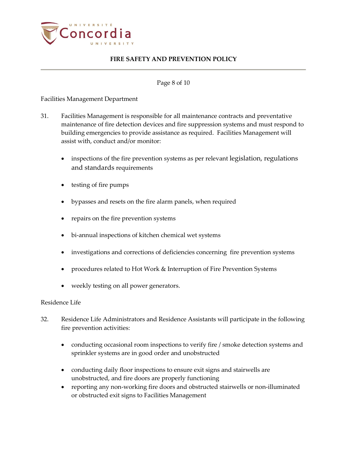

### Page 8 of 10

Facilities Management Department

- 31. Facilities Management is responsible for all maintenance contracts and preventative maintenance of fire detection devices and fire suppression systems and must respond to building emergencies to provide assistance as required. Facilities Management will assist with, conduct and/or monitor:
	- inspections of the fire prevention systems as per relevant legislation, regulations and standards requirements
	- testing of fire pumps
	- bypasses and resets on the fire alarm panels, when required
	- repairs on the fire prevention systems
	- bi-annual inspections of kitchen chemical wet systems
	- investigations and corrections of deficiencies concerning fire prevention systems
	- procedures related to Hot Work & Interruption of Fire Prevention Systems
	- weekly testing on all power generators.

## Residence Life

- 32. Residence Life Administrators and Residence Assistants will participate in the following fire prevention activities:
	- conducting occasional room inspections to verify fire / smoke detection systems and sprinkler systems are in good order and unobstructed
	- conducting daily floor inspections to ensure exit signs and stairwells are unobstructed, and fire doors are properly functioning
	- reporting any non-working fire doors and obstructed stairwells or non-illuminated or obstructed exit signs to Facilities Management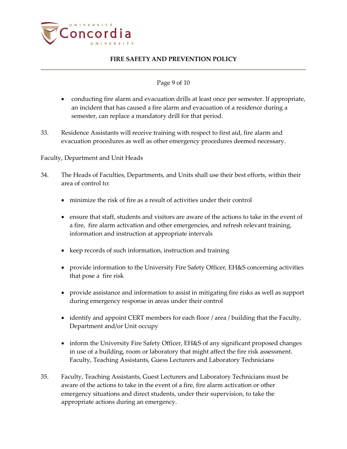

## Page 9 of 10

- conducting fire alarm and evacuation drills at least once per semester. If appropriate, an incident that has caused a fire alarm and evacuation of a residence during a semester, can replace a mandatory drill for that period.
- 33. Residence Assistants will receive training with respect to first aid, fire alarm and evacuation procedures as well as other emergency procedures deemed necessary.

## Faculty, Department and Unit Heads

- 34. The Heads of Faculties, Departments, and Units shall use their best efforts, within their area of control to:
	- minimize the risk of fire as a result of activities under their control
	- ensure that staff, students and visitors are aware of the actions to take in the event of a fire, fire alarm activation and other emergencies, and refresh relevant training, information and instruction at appropriate intervals
	- keep records of such information, instruction and training
	- provide information to the University Fire Safety Officer, EH&S concerning activities that pose a fire risk
	- provide assistance and information to assist in mitigating fire risks as well as support during emergency response in areas under their control
	- identify and appoint CERT members for each floor / area / building that the Faculty, Department and/or Unit occupy
	- inform the University Fire Safety Officer, EH&S of any significant proposed changes in use of a building, room or laboratory that might affect the fire risk assessment. Faculty, Teaching Assistants, Guess Lecturers and Laboratory Technicians
- 35. Faculty, Teaching Assistants, Guest Lecturers and Laboratory Technicians must be aware of the actions to take in the event of a fire, fire alarm activation or other emergency situations and direct students, under their supervision, to take the appropriate actions during an emergency.